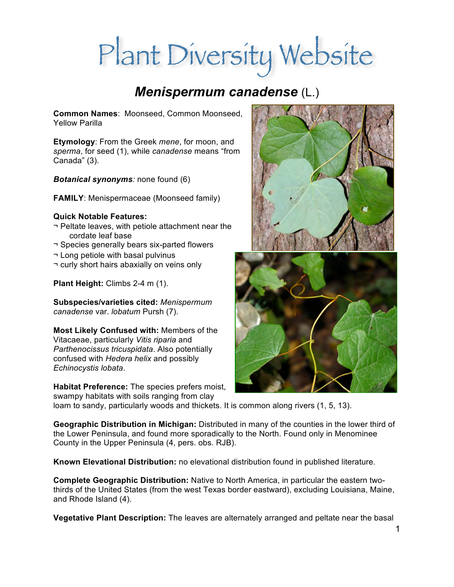# Plant Diversity Website

## *Menispermum canadense* (L.)

**Common Names**: Moonseed, Common Moonseed, Yellow Parilla

**Etymology**: From the Greek *mene*, for moon, and *sperma*, for seed (1), while *canadense* means "from Canada" (3).

*Botanical synonyms:* none found (6)

**FAMILY**: Menispermaceae (Moonseed family)

#### **Quick Notable Features:**

- ¬ Peltate leaves, with petiole attachment near the cordate leaf base
- ¬ Species generally bears six-parted flowers
- ¬ Long petiole with basal pulvinus
- ¬ curly short hairs abaxially on veins only

**Plant Height:** Climbs 2-4 m (1).

**Subspecies/varieties cited:** *Menispermum canadense* var. *lobatum* Pursh (7).

**Most Likely Confused with:** Members of the Vitacaeae, particularly *Vitis riparia* and *Parthenocissus tricuspidata*. Also potentially confused with *Hedera helix* and possibly *Echinocystis lobata*.

**Habitat Preference:** The species prefers moist, swampy habitats with soils ranging from clay

loam to sandy, particularly woods and thickets. It is common along rivers (1, 5, 13).

**Geographic Distribution in Michigan:** Distributed in many of the counties in the lower third of the Lower Peninsula, and found more sporadically to the North. Found only in Menominee County in the Upper Peninsula (4, pers. obs. RJB).

**Known Elevational Distribution:** no elevational distribution found in published literature.

**Complete Geographic Distribution:** Native to North America, in particular the eastern twothirds of the United States (from the west Texas border eastward), excluding Louisiana, Maine, and Rhode Island (4).

**Vegetative Plant Description:** The leaves are alternately arranged and peltate near the basal

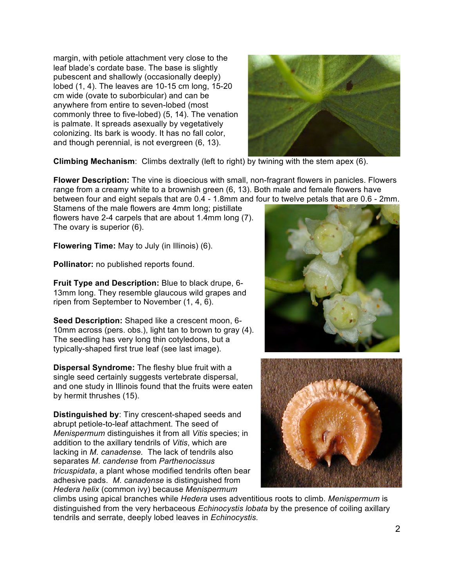margin, with petiole attachment very close to the leaf blade's cordate base. The base is slightly pubescent and shallowly (occasionally deeply) lobed (1, 4). The leaves are 10-15 cm long, 15-20 cm wide (ovate to suborbicular) and can be anywhere from entire to seven-lobed (most commonly three to five-lobed) (5, 14). The venation is palmate. It spreads asexually by vegetatively colonizing. Its bark is woody. It has no fall color, and though perennial, is not evergreen (6, 13).



**Climbing Mechanism**: Climbs dextrally (left to right) by twining with the stem apex (6).

**Flower Description:** The vine is dioecious with small, non-fragrant flowers in panicles. Flowers range from a creamy white to a brownish green (6, 13). Both male and female flowers have between four and eight sepals that are 0.4 - 1.8mm and four to twelve petals that are 0.6 - 2mm.

Stamens of the male flowers are 4mm long; pistillate flowers have 2-4 carpels that are about 1.4mm long (7). The ovary is superior (6).

**Flowering Time:** May to July (in Illinois) (6).

**Pollinator:** no published reports found.

**Fruit Type and Description:** Blue to black drupe, 6- 13mm long. They resemble glaucous wild grapes and ripen from September to November (1, 4, 6).

**Seed Description:** Shaped like a crescent moon, 6- 10mm across (pers. obs.), light tan to brown to gray (4). The seedling has very long thin cotyledons, but a typically-shaped first true leaf (see last image).

**Dispersal Syndrome:** The fleshy blue fruit with a single seed certainly suggests vertebrate dispersal, and one study in Illinois found that the fruits were eaten by hermit thrushes (15).

**Distinguished by**: Tiny crescent-shaped seeds and abrupt petiole-to-leaf attachment. The seed of *Menispermum* distinguishes it from all *Vitis* species; in addition to the axillary tendrils of *Vitis*, which are lacking in *M. canadense.* The lack of tendrils also separates *M. candense* from *Parthenocissus tricuspidata*, a plant whose modified tendrils often bear adhesive pads. *M. canadense* is distinguished from *Hedera helix* (common ivy) because *Menispermum*





climbs using apical branches while *Hedera* uses adventitious roots to climb. *Menispermum* is distinguished from the very herbaceous *Echinocystis lobata* by the presence of coiling axillary tendrils and serrate, deeply lobed leaves in *Echinocystis.*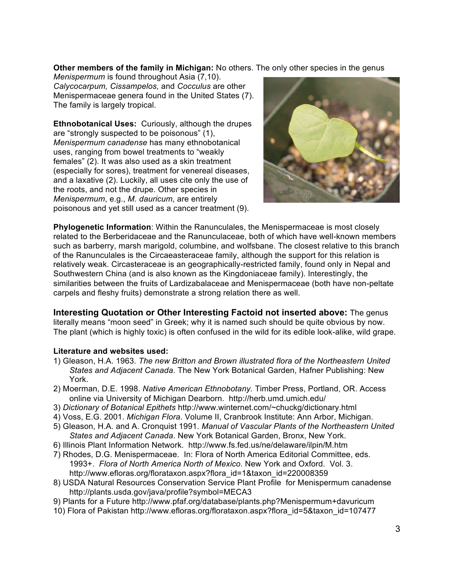**Other members of the family in Michigan:** No others. The only other species in the genus

*Menispermum* is found throughout Asia (7,10). *Calycocarpum, Cissampelos,* and *Cocculus* are other Menispermaceae genera found in the United States (7). The family is largely tropical.

**Ethnobotanical Uses:** Curiously, although the drupes are "strongly suspected to be poisonous" (1), *Menispermum canadense* has many ethnobotanical uses, ranging from bowel treatments to "weakly females" (2). It was also used as a skin treatment (especially for sores), treatment for venereal diseases, and a laxative (2). Luckily, all uses cite only the use of the roots, and not the drupe. Other species in *Menispermum*, e.g., *M. dauricum,* are entirely poisonous and yet still used as a cancer treatment (9).



**Phylogenetic Information**: Within the Ranunculales, the Menispermaceae is most closely related to the Berberidaceae and the Ranunculaceae, both of which have well-known members such as barberry, marsh marigold, columbine, and wolfsbane. The closest relative to this branch of the Ranunculales is the Circaeasteraceae family, although the support for this relation is relatively weak. Circasteraceae is an geographically-restricted family, found only in Nepal and Southwestern China (and is also known as the Kingdoniaceae family). Interestingly, the similarities between the fruits of Lardizabalaceae and Menispermaceae (both have non-peltate carpels and fleshy fruits) demonstrate a strong relation there as well.

**Interesting Quotation or Other Interesting Factoid not inserted above:** The genus literally means "moon seed" in Greek; why it is named such should be quite obvious by now. The plant (which is highly toxic) is often confused in the wild for its edible look-alike, wild grape.

#### **Literature and websites used:**

- 1) Gleason, H.A. 1963. *The new Britton and Brown illustrated flora of the Northeastern United States and Adjacent Canada*. The New York Botanical Garden, Hafner Publishing: New York.
- 2) Moerman, D.E. 1998. *Native American Ethnobotany.* Timber Press, Portland, OR. Access online via University of Michigan Dearborn. http://herb.umd.umich.edu/
- 3) *Dictionary of Botanical Epithets* http://www.winternet.com/~chuckg/dictionary.html
- 4) Voss, E.G. 2001. *Michigan Flora*. Volume II, Cranbrook Institute: Ann Arbor, Michigan.
- 5) Gleason, H.A. and A. Cronquist 1991. *Manual of Vascular Plants of the Northeastern United States and Adjacent Canada*. New York Botanical Garden, Bronx, New York.
- 6) Illinois Plant Information Network. http://www.fs.fed.us/ne/delaware/ilpin/M.htm
- 7) Rhodes, D.G. Menispermaceae. In: Flora of North America Editorial Committee, eds. 1993+. *Flora of North America North of Mexico*. New York and Oxford. Vol. 3. http://www.efloras.org/florataxon.aspx?flora\_id=1&taxon\_id=220008359
- 8) USDA Natural Resources Conservation Service Plant Profile for Menispermum canadense http://plants.usda.gov/java/profile?symbol=MECA3
- 9) Plants for a Future http://www.pfaf.org/database/plants.php?Menispermum+davuricum
- 10) Flora of Pakistan http://www.efloras.org/florataxon.aspx?flora\_id=5&taxon\_id=107477